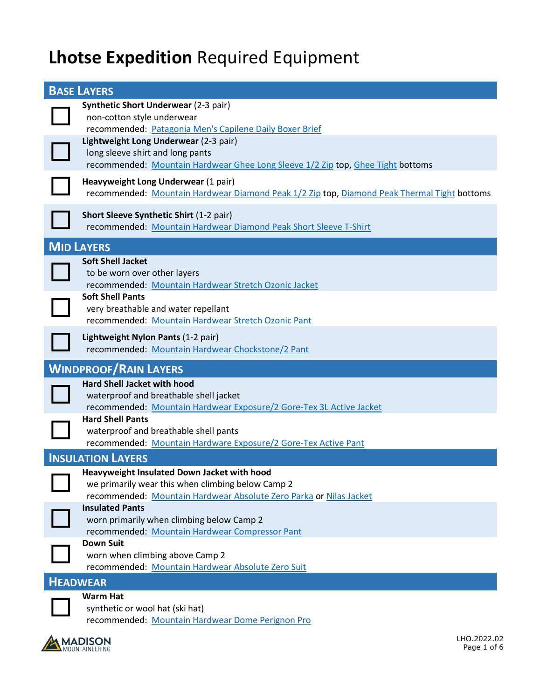## **Lhotse Expedition** Required Equipment

| <b>BASE LAYERS</b>                                                                                                                                                                                                    |
|-----------------------------------------------------------------------------------------------------------------------------------------------------------------------------------------------------------------------|
| <b>Synthetic Short Underwear (2-3 pair)</b><br>non-cotton style underwear<br>recommended: Patagonia Men's Capilene Daily Boxer Brief<br>Lightweight Long Underwear (2-3 pair)<br>long sleeve shirt and long pants     |
| recommended: Mountain Hardwear Ghee Long Sleeve 1/2 Zip top, Ghee Tight bottoms<br>Heavyweight Long Underwear (1 pair)<br>recommended: Mountain Hardwear Diamond Peak 1/2 Zip top, Diamond Peak Thermal Tight bottoms |
| <b>Short Sleeve Synthetic Shirt (1-2 pair)</b><br>recommended: Mountain Hardwear Diamond Peak Short Sleeve T-Shirt                                                                                                    |
| <b>MID LAYERS</b>                                                                                                                                                                                                     |
| <b>Soft Shell Jacket</b><br>to be worn over other layers<br>recommended: Mountain Hardwear Stretch Ozonic Jacket                                                                                                      |
| <b>Soft Shell Pants</b><br>very breathable and water repellant<br>recommended: Mountain Hardwear Stretch Ozonic Pant                                                                                                  |
| Lightweight Nylon Pants (1-2 pair)<br>recommended: Mountain Hardwear Chockstone/2 Pant                                                                                                                                |
|                                                                                                                                                                                                                       |
| <b>WINDPROOF/RAIN LAYERS</b>                                                                                                                                                                                          |
| <b>Hard Shell Jacket with hood</b><br>waterproof and breathable shell jacket<br>recommended: Mountain Hardwear Exposure/2 Gore-Tex 3L Active Jacket                                                                   |
| <b>Hard Shell Pants</b><br>waterproof and breathable shell pants<br>recommended: Mountain Hardware Exposure/2 Gore-Tex Active Pant                                                                                    |
| <b>INSULATION LAYERS</b>                                                                                                                                                                                              |
| Heavyweight Insulated Down Jacket with hood<br>we primarily wear this when climbing below Camp 2<br>recommended: Mountain Hardwear Absolute Zero Parka or Nilas Jacket                                                |
| <b>Insulated Pants</b><br>worn primarily when climbing below Camp 2<br>recommended: Mountain Hardwear Compressor Pant                                                                                                 |
| <b>Down Suit</b><br>worn when climbing above Camp 2<br>recommended: Mountain Hardwear Absolute Zero Suit                                                                                                              |
| <b>HEADWEAR</b>                                                                                                                                                                                                       |

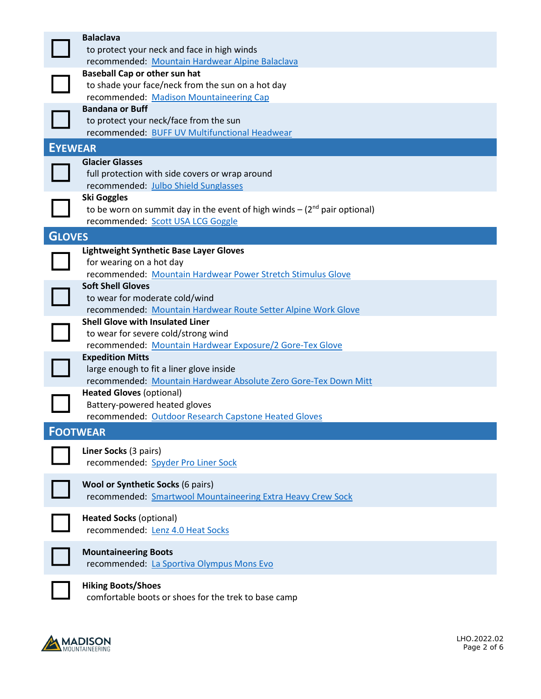|                | <b>Balaclava</b><br>to protect your neck and face in high winds                                     |
|----------------|-----------------------------------------------------------------------------------------------------|
|                | recommended: Mountain Hardwear Alpine Balaclava<br><b>Baseball Cap or other sun hat</b>             |
|                | to shade your face/neck from the sun on a hot day                                                   |
|                | recommended: Madison Mountaineering Cap                                                             |
|                | <b>Bandana or Buff</b>                                                                              |
|                | to protect your neck/face from the sun                                                              |
|                | recommended: BUFF UV Multifunctional Headwear                                                       |
| <b>EYEWEAR</b> |                                                                                                     |
|                | <b>Glacier Glasses</b>                                                                              |
|                | full protection with side covers or wrap around                                                     |
|                | recommended: Julbo Shield Sunglasses                                                                |
|                | <b>Ski Goggles</b><br>to be worn on summit day in the event of high winds $-(2^{nd}$ pair optional) |
|                | recommended: Scott USA LCG Goggle                                                                   |
|                |                                                                                                     |
| <b>GLOVES</b>  |                                                                                                     |
|                | Lightweight Synthetic Base Layer Gloves<br>for wearing on a hot day                                 |
|                | recommended: Mountain Hardwear Power Stretch Stimulus Glove                                         |
|                | <b>Soft Shell Gloves</b>                                                                            |
|                | to wear for moderate cold/wind                                                                      |
|                | recommended: Mountain Hardwear Route Setter Alpine Work Glove                                       |
|                | <b>Shell Glove with Insulated Liner</b>                                                             |
|                | to wear for severe cold/strong wind                                                                 |
|                | recommended: Mountain Hardwear Exposure/2 Gore-Tex Glove                                            |
|                | <b>Expedition Mitts</b>                                                                             |
|                | large enough to fit a liner glove inside                                                            |
|                | recommended: Mountain Hardwear Absolute Zero Gore-Tex Down Mitt<br><b>Heated Gloves (optional)</b>  |
|                | Battery-powered heated gloves                                                                       |
|                | recommended: Outdoor Research Capstone Heated Gloves                                                |
|                | <b>FOOTWEAR</b>                                                                                     |
|                |                                                                                                     |
|                | Liner Socks (3 pairs)                                                                               |
|                | recommended: Spyder Pro Liner Sock                                                                  |
|                | Wool or Synthetic Socks (6 pairs)                                                                   |
|                | recommended: Smartwool Mountaineering Extra Heavy Crew Sock                                         |
|                |                                                                                                     |
|                | <b>Heated Socks (optional)</b>                                                                      |
|                | recommended: Lenz 4.0 Heat Socks                                                                    |
|                |                                                                                                     |
|                | <b>Mountaineering Boots</b><br>recommended: La Sportiva Olympus Mons Evo                            |
|                |                                                                                                     |
|                | <b>Hiking Boots/Shoes</b>                                                                           |
|                | comfortable boots or shoes for the trek to base camp                                                |

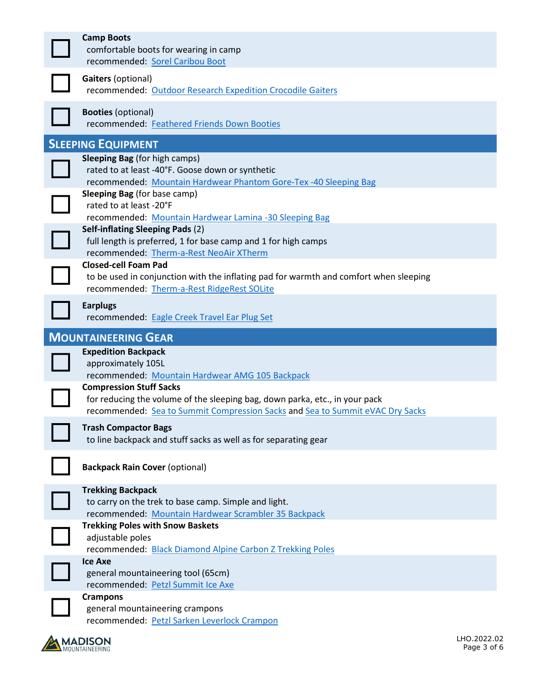| <b>Camp Boots</b><br>comfortable boots for wearing in camp<br>recommended: Sorel Caribou Boot                                                                                                  |
|------------------------------------------------------------------------------------------------------------------------------------------------------------------------------------------------|
| <b>Gaiters (optional)</b><br>recommended: Outdoor Research Expedition Crocodile Gaiters                                                                                                        |
| <b>Booties (optional)</b><br>recommended: Feathered Friends Down Booties                                                                                                                       |
| <b>SLEEPING EQUIPMENT</b>                                                                                                                                                                      |
| <b>Sleeping Bag</b> (for high camps)<br>rated to at least -40°F. Goose down or synthetic<br>recommended: Mountain Hardwear Phantom Gore-Tex -40 Sleeping Bag                                   |
| <b>Sleeping Bag</b> (for base camp)<br>rated to at least -20°F<br>recommended: Mountain Hardwear Lamina -30 Sleeping Bag                                                                       |
| Self-inflating Sleeping Pads (2)<br>full length is preferred, 1 for base camp and 1 for high camps<br>recommended: Therm-a-Rest NeoAir XTherm                                                  |
| <b>Closed-cell Foam Pad</b><br>to be used in conjunction with the inflating pad for warmth and comfort when sleeping<br>recommended: Therm-a-Rest RidgeRest SOLite                             |
| <b>Earplugs</b><br>recommended: Eagle Creek Travel Ear Plug Set                                                                                                                                |
|                                                                                                                                                                                                |
| <b>MOUNTAINEERING GEAR</b>                                                                                                                                                                     |
| <b>Expedition Backpack</b><br>approximately 105L<br>recommended: Mountain Hardwear AMG 105 Backpack                                                                                            |
| <b>Compression Stuff Sacks</b><br>for reducing the volume of the sleeping bag, down parka, etc., in your pack<br>recommended: Sea to Summit Compression Sacks and Sea to Summit eVAC Dry Sacks |
| <b>Trash Compactor Bags</b><br>to line backpack and stuff sacks as well as for separating gear                                                                                                 |
| <b>Backpack Rain Cover (optional)</b>                                                                                                                                                          |
| <b>Trekking Backpack</b><br>to carry on the trek to base camp. Simple and light.<br>recommended: Mountain Hardwear Scrambler 35 Backpack                                                       |
| <b>Trekking Poles with Snow Baskets</b><br>adjustable poles<br>recommended: Black Diamond Alpine Carbon Z Trekking Poles                                                                       |
| <b>Ice Axe</b><br>general mountaineering tool (65cm)<br>recommended: Petzl Summit Ice Axe                                                                                                      |

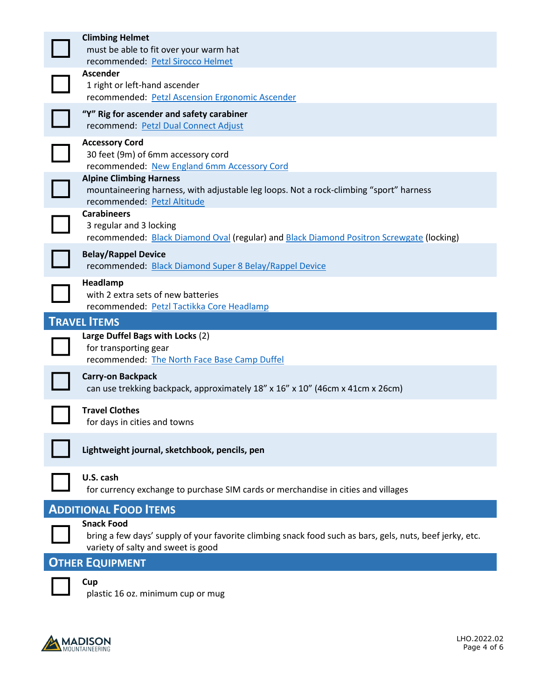| <b>Climbing Helmet</b><br>must be able to fit over your warm hat<br>recommended: Petzl Sirocco Helmet                                                               |
|---------------------------------------------------------------------------------------------------------------------------------------------------------------------|
| <b>Ascender</b><br>1 right or left-hand ascender<br>recommended: Petzl Ascension Ergonomic Ascender                                                                 |
| "Y" Rig for ascender and safety carabiner<br>recommend: Petzl Dual Connect Adjust                                                                                   |
| <b>Accessory Cord</b><br>30 feet (9m) of 6mm accessory cord<br>recommended: New England 6mm Accessory Cord                                                          |
| <b>Alpine Climbing Harness</b><br>mountaineering harness, with adjustable leg loops. Not a rock-climbing "sport" harness<br>recommended: Petzl Altitude             |
| <b>Carabineers</b><br>3 regular and 3 locking<br>recommended: Black Diamond Oval (regular) and Black Diamond Positron Screwgate (locking)                           |
| <b>Belay/Rappel Device</b><br>recommended: Black Diamond Super 8 Belay/Rappel Device                                                                                |
| Headlamp<br>with 2 extra sets of new batteries<br>recommended: Petzl Tactikka Core Headlamp                                                                         |
| <b>TRAVEL ITEMS</b>                                                                                                                                                 |
| Large Duffel Bags with Locks (2)<br>for transporting gear<br>recommended: The North Face Base Camp Duffel                                                           |
| <b>Carry-on Backpack</b><br>can use trekking backpack, approximately 18" x 16" x 10" (46cm x 41cm x 26cm)                                                           |
| <b>Travel Clothes</b><br>for days in cities and towns                                                                                                               |
| Lightweight journal, sketchbook, pencils, pen                                                                                                                       |
| U.S. cash<br>for currency exchange to purchase SIM cards or merchandise in cities and villages                                                                      |
| <b>ADDITIONAL FOOD ITEMS</b>                                                                                                                                        |
| <b>Snack Food</b><br>bring a few days' supply of your favorite climbing snack food such as bars, gels, nuts, beef jerky, etc.<br>variety of salty and sweet is good |





**Cup**<br>
plastic 16 oz. minimum cup or mug

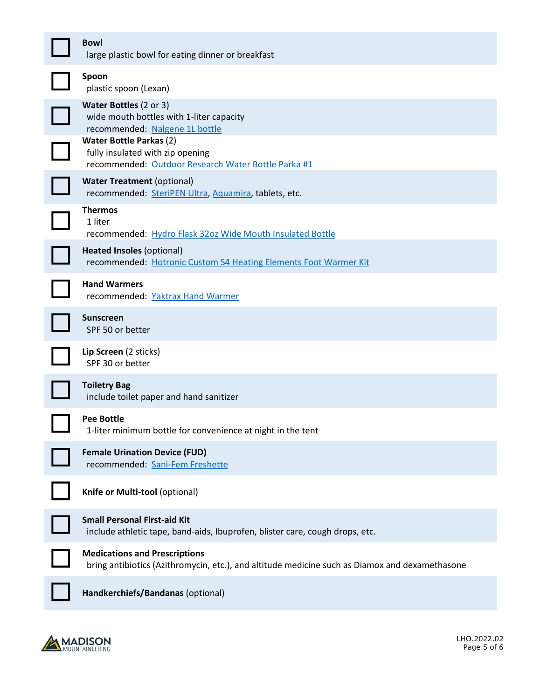| <b>Bowl</b><br>large plastic bowl for eating dinner or breakfast                                                                       |
|----------------------------------------------------------------------------------------------------------------------------------------|
| Spoon<br>plastic spoon (Lexan)                                                                                                         |
| <b>Water Bottles (2 or 3)</b><br>wide mouth bottles with 1-liter capacity<br>recommended: Nalgene 1L bottle                            |
| <b>Water Bottle Parkas (2)</b><br>fully insulated with zip opening<br>recommended: Outdoor Research Water Bottle Parka #1              |
| <b>Water Treatment (optional)</b><br>recommended: SteriPEN Ultra, Aquamira, tablets, etc.                                              |
| <b>Thermos</b><br>1 liter<br>recommended: Hydro Flask 32oz Wide Mouth Insulated Bottle                                                 |
| <b>Heated Insoles (optional)</b><br>recommended: Hotronic Custom S4 Heating Elements Foot Warmer Kit                                   |
| <b>Hand Warmers</b><br>recommended: Yaktrax Hand Warmer                                                                                |
| <b>Sunscreen</b><br>SPF 50 or better                                                                                                   |
| Lip Screen (2 sticks)<br>SPF 30 or better                                                                                              |
| <b>Toiletry Bag</b><br>include toilet paper and hand sanitizer                                                                         |
| <b>Pee Bottle</b><br>1-liter minimum bottle for convenience at night in the tent                                                       |
| <b>Female Urination Device (FUD)</b><br>recommended: Sani-Fem Freshette                                                                |
| Knife or Multi-tool (optional)                                                                                                         |
| <b>Small Personal First-aid Kit</b><br>include athletic tape, band-aids, Ibuprofen, blister care, cough drops, etc.                    |
| <b>Medications and Prescriptions</b><br>bring antibiotics (Azithromycin, etc.), and altitude medicine such as Diamox and dexamethasone |
| Handkerchiefs/Bandanas (optional)                                                                                                      |